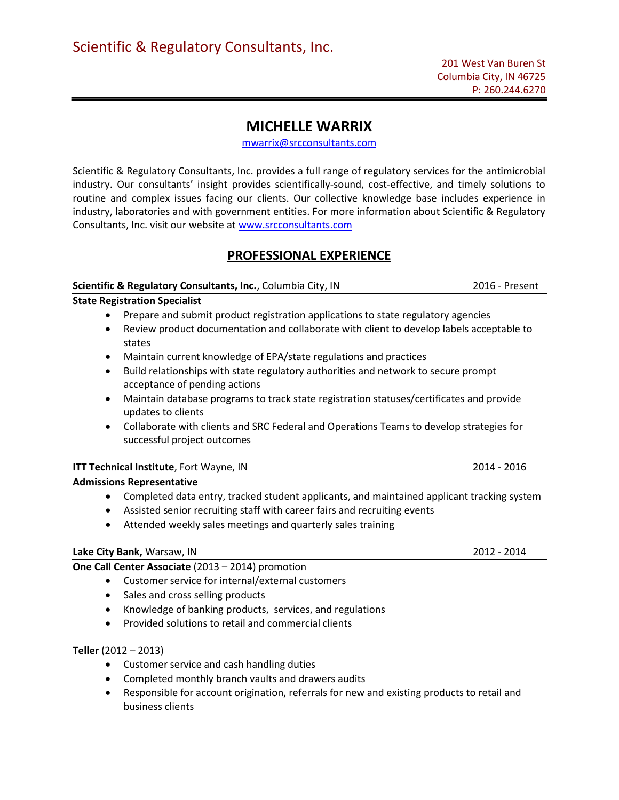# MICHELLE WARRIX

mwarrix@srcconsultants.com

Scientific & Regulatory Consultants, Inc. provides a full range of regulatory services for the antimicrobial industry. Our consultants' insight provides scientifically-sound, cost-effective, and timely solutions to routine and complex issues facing our clients. Our collective knowledge base includes experience in industry, laboratories and with government entities. For more information about Scientific & Regulatory Consultants, Inc. visit our website at www.srcconsultants.com

## PROFESSIONAL EXPERIENCE

#### Scientific & Regulatory Consultants, Inc., Columbia City, IN 2016 - Present State Registration Specialist

- Prepare and submit product registration applications to state regulatory agencies
- Review product documentation and collaborate with client to develop labels acceptable to states
- Maintain current knowledge of EPA/state regulations and practices
- Build relationships with state regulatory authorities and network to secure prompt acceptance of pending actions
- Maintain database programs to track state registration statuses/certificates and provide updates to clients
- Collaborate with clients and SRC Federal and Operations Teams to develop strategies for successful project outcomes

#### ITT Technical Institute, Fort Wayne, IN 2014 - 2016

#### Admissions Representative

- Completed data entry, tracked student applicants, and maintained applicant tracking system
- Assisted senior recruiting staff with career fairs and recruiting events
- Attended weekly sales meetings and quarterly sales training

#### Lake City Bank, Warsaw, IN 2012 - 2014

### One Call Center Associate (2013 – 2014) promotion

- Customer service for internal/external customers
- Sales and cross selling products
- Knowledge of banking products, services, and regulations
- Provided solutions to retail and commercial clients

#### Teller (2012 – 2013)

- Customer service and cash handling duties
- Completed monthly branch vaults and drawers audits
- Responsible for account origination, referrals for new and existing products to retail and business clients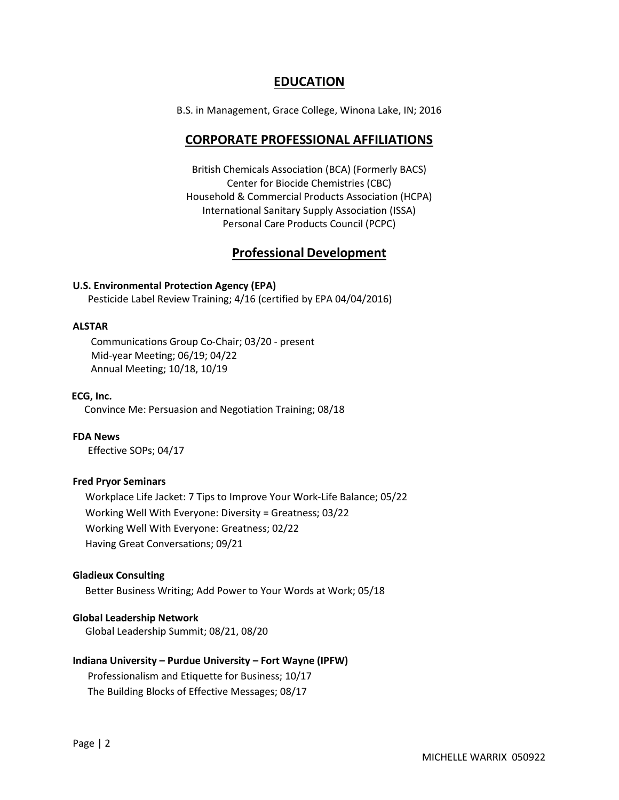### EDUCATION

B.S. in Management, Grace College, Winona Lake, IN; 2016

### CORPORATE PROFESSIONAL AFFILIATIONS

British Chemicals Association (BCA) (Formerly BACS) Center for Biocide Chemistries (CBC) Household & Commercial Products Association (HCPA) International Sanitary Supply Association (ISSA) Personal Care Products Council (PCPC)

### Professional Development

#### U.S. Environmental Protection Agency (EPA)

Pesticide Label Review Training; 4/16 (certified by EPA 04/04/2016)

#### ALSTAR

Communications Group Co-Chair; 03/20 - present Mid-year Meeting; 06/19; 04/22 Annual Meeting; 10/18, 10/19

#### ECG, Inc.

Convince Me: Persuasion and Negotiation Training; 08/18

FDA News Effective SOPs; 04/17

#### Fred Pryor Seminars

 Workplace Life Jacket: 7 Tips to Improve Your Work-Life Balance; 05/22 Working Well With Everyone: Diversity = Greatness; 03/22 Working Well With Everyone: Greatness; 02/22 Having Great Conversations; 09/21

#### Gladieux Consulting

Better Business Writing; Add Power to Your Words at Work; 05/18

#### Global Leadership Network

Global Leadership Summit; 08/21, 08/20

#### Indiana University – Purdue University – Fort Wayne (IPFW)

Professionalism and Etiquette for Business; 10/17 The Building Blocks of Effective Messages; 08/17